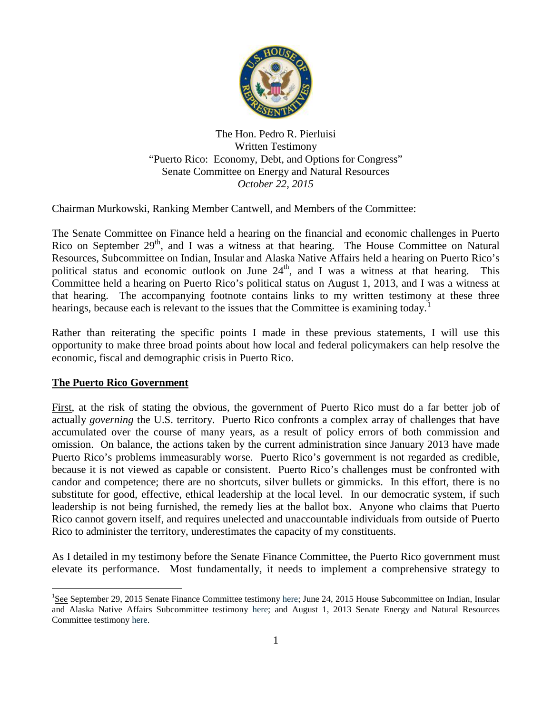

The Hon. Pedro R. Pierluisi Written Testimony "Puerto Rico: Economy, Debt, and Options for Congress" Senate Committee on Energy and Natural Resources *October 22, 2015*

Chairman Murkowski, Ranking Member Cantwell, and Members of the Committee:

The Senate Committee on Finance held a hearing on the financial and economic challenges in Puerto Rico on September 29<sup>th</sup>, and I was a witness at that hearing. The House Committee on Natural Resources, Subcommittee on Indian, Insular and Alaska Native Affairs held a hearing on Puerto Rico's political status and economic outlook on June 24<sup>th</sup>, and I was a witness at that hearing. This Committee held a hearing on Puerto Rico's political status on August 1, 2013, and I was a witness at that hearing. The accompanying footnote contains links to my written testimony at these three hearings, because each is relevant to the issues that the Committee is examining today.<sup>[1](#page-0-0)</sup>

Rather than reiterating the specific points I made in these previous statements, I will use this opportunity to make three broad points about how local and federal policymakers can help resolve the economic, fiscal and demographic crisis in Puerto Rico.

## **The Puerto Rico Government**

First, at the risk of stating the obvious, the government of Puerto Rico must do a far better job of actually *governing* the U.S. territory. Puerto Rico confronts a complex array of challenges that have accumulated over the course of many years, as a result of policy errors of both commission and omission. On balance, the actions taken by the current administration since January 2013 have made Puerto Rico's problems immeasurably worse. Puerto Rico's government is not regarded as credible, because it is not viewed as capable or consistent. Puerto Rico's challenges must be confronted with candor and competence; there are no shortcuts, silver bullets or gimmicks. In this effort, there is no substitute for good, effective, ethical leadership at the local level. In our democratic system, if such leadership is not being furnished, the remedy lies at the ballot box. Anyone who claims that Puerto Rico cannot govern itself, and requires unelected and unaccountable individuals from outside of Puerto Rico to administer the territory, underestimates the capacity of my constituents.

As I detailed in my testimony before the Senate Finance Committee, the Puerto Rico government must elevate its performance. Most fundamentally, it needs to implement a comprehensive strategy to

<span id="page-0-0"></span> $\frac{1}{1}$ <sup>1</sup>See September 29, 2015 Senate Finance Committee testimony [here;](http://www.finance.senate.gov/imo/media/doc/9.29.15%20Rep.%20Pierluisi%20Written%20Testimony,%20Senate%20Finance%20Committee%20Hearing%20on%20Puerto%20Rico) June 24, 2015 House Subcommittee on Indian, Insular and Alaska Native Affairs Subcommittee testimony [here;](http://naturalresources.house.gov/uploadedfiles/pierluisitestimony.pdf) and August 1, 2013 Senate Energy and Natural Resources Committee testimony [here.](http://www.energy.senate.gov/public/index.cfm/files/serve?File_id=672238c6-3204-49c0-82f9-d63614fc4ac4.pdf)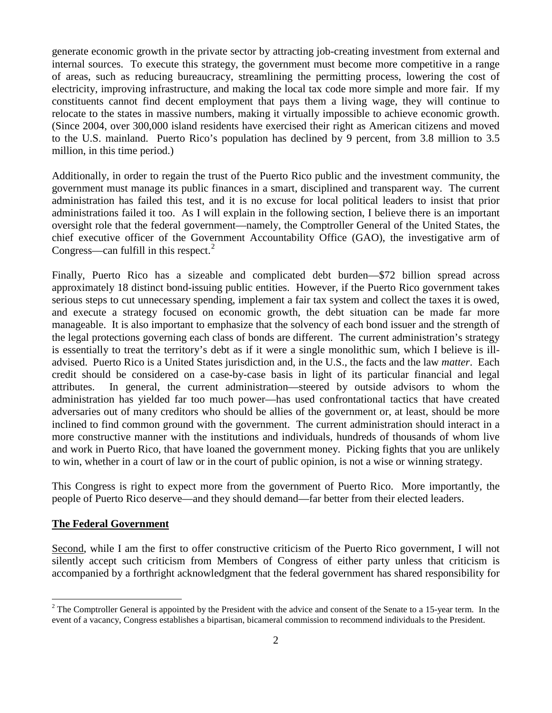generate economic growth in the private sector by attracting job-creating investment from external and internal sources. To execute this strategy, the government must become more competitive in a range of areas, such as reducing bureaucracy, streamlining the permitting process, lowering the cost of electricity, improving infrastructure, and making the local tax code more simple and more fair. If my constituents cannot find decent employment that pays them a living wage, they will continue to relocate to the states in massive numbers, making it virtually impossible to achieve economic growth. (Since 2004, over 300,000 island residents have exercised their right as American citizens and moved to the U.S. mainland. Puerto Rico's population has declined by 9 percent, from 3.8 million to 3.5 million, in this time period.)

Additionally, in order to regain the trust of the Puerto Rico public and the investment community, the government must manage its public finances in a smart, disciplined and transparent way. The current administration has failed this test, and it is no excuse for local political leaders to insist that prior administrations failed it too. As I will explain in the following section, I believe there is an important oversight role that the federal government—namely, the Comptroller General of the United States, the chief executive officer of the Government Accountability Office (GAO), the investigative arm of Congress—can fulfill in this respect.<sup>[2](#page-1-0)</sup>

Finally, Puerto Rico has a sizeable and complicated debt burden—\$72 billion spread across approximately 18 distinct bond-issuing public entities. However, if the Puerto Rico government takes serious steps to cut unnecessary spending, implement a fair tax system and collect the taxes it is owed, and execute a strategy focused on economic growth, the debt situation can be made far more manageable. It is also important to emphasize that the solvency of each bond issuer and the strength of the legal protections governing each class of bonds are different. The current administration's strategy is essentially to treat the territory's debt as if it were a single monolithic sum, which I believe is illadvised. Puerto Rico is a United States jurisdiction and, in the U.S., the facts and the law *matter*. Each credit should be considered on a case-by-case basis in light of its particular financial and legal attributes. In general, the current administration—steered by outside advisors to whom the administration has yielded far too much power—has used confrontational tactics that have created adversaries out of many creditors who should be allies of the government or, at least, should be more inclined to find common ground with the government. The current administration should interact in a more constructive manner with the institutions and individuals, hundreds of thousands of whom live and work in Puerto Rico, that have loaned the government money. Picking fights that you are unlikely to win, whether in a court of law or in the court of public opinion, is not a wise or winning strategy.

This Congress is right to expect more from the government of Puerto Rico. More importantly, the people of Puerto Rico deserve—and they should demand—far better from their elected leaders.

## **The Federal Government**

Second, while I am the first to offer constructive criticism of the Puerto Rico government, I will not silently accept such criticism from Members of Congress of either party unless that criticism is accompanied by a forthright acknowledgment that the federal government has shared responsibility for

<span id="page-1-0"></span> $2$  The Comptroller General is appointed by the President with the advice and consent of the Senate to a 15-year term. In the event of a vacancy, Congress establishes a bipartisan, bicameral commission to recommend individuals to the President.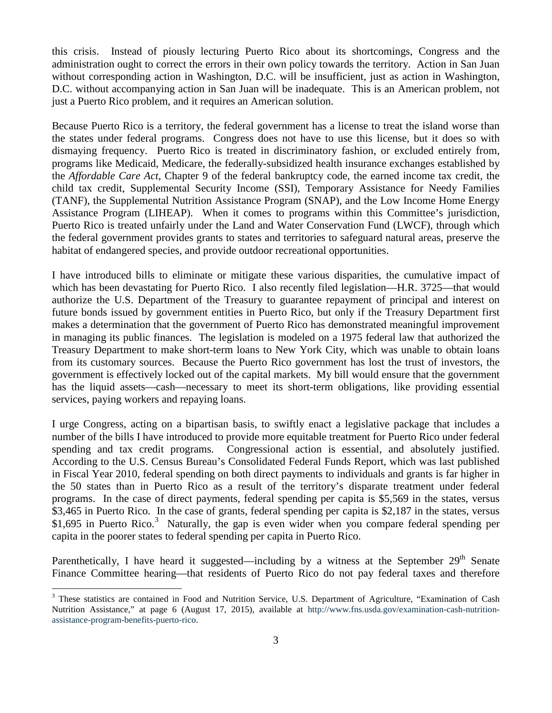this crisis. Instead of piously lecturing Puerto Rico about its shortcomings, Congress and the administration ought to correct the errors in their own policy towards the territory. Action in San Juan without corresponding action in Washington, D.C. will be insufficient, just as action in Washington, D.C. without accompanying action in San Juan will be inadequate. This is an American problem, not just a Puerto Rico problem, and it requires an American solution.

Because Puerto Rico is a territory, the federal government has a license to treat the island worse than the states under federal programs. Congress does not have to use this license, but it does so with dismaying frequency. Puerto Rico is treated in discriminatory fashion, or excluded entirely from, programs like Medicaid, Medicare, the federally-subsidized health insurance exchanges established by the *Affordable Care Act*, Chapter 9 of the federal bankruptcy code, the earned income tax credit, the child tax credit, Supplemental Security Income (SSI), Temporary Assistance for Needy Families (TANF), the Supplemental Nutrition Assistance Program (SNAP), and the Low Income Home Energy Assistance Program (LIHEAP). When it comes to programs within this Committee's jurisdiction, Puerto Rico is treated unfairly under the Land and Water Conservation Fund (LWCF), through which the federal government provides grants to states and territories to safeguard natural areas, preserve the habitat of endangered species, and provide outdoor recreational opportunities.

I have introduced bills to eliminate or mitigate these various disparities, the cumulative impact of which has been devastating for Puerto Rico. I also recently filed legislation—H.R. 3725—that would authorize the U.S. Department of the Treasury to guarantee repayment of principal and interest on future bonds issued by government entities in Puerto Rico, but only if the Treasury Department first makes a determination that the government of Puerto Rico has demonstrated meaningful improvement in managing its public finances. The legislation is modeled on a 1975 federal law that authorized the Treasury Department to make short-term loans to New York City, which was unable to obtain loans from its customary sources. Because the Puerto Rico government has lost the trust of investors, the government is effectively locked out of the capital markets. My bill would ensure that the government has the liquid assets—cash—necessary to meet its short-term obligations, like providing essential services, paying workers and repaying loans.

I urge Congress, acting on a bipartisan basis, to swiftly enact a legislative package that includes a number of the bills I have introduced to provide more equitable treatment for Puerto Rico under federal spending and tax credit programs. Congressional action is essential, and absolutely justified. According to the U.S. Census Bureau's Consolidated Federal Funds Report, which was last published in Fiscal Year 2010, federal spending on both direct payments to individuals and grants is far higher in the 50 states than in Puerto Rico as a result of the territory's disparate treatment under federal programs. In the case of direct payments, federal spending per capita is \$5,569 in the states, versus \$3,465 in Puerto Rico. In the case of grants, federal spending per capita is \$2,187 in the states, versus \$1,695 in Puerto Rico.<sup>[3](#page-2-0)</sup> Naturally, the gap is even wider when you compare federal spending per capita in the poorer states to federal spending per capita in Puerto Rico.

Parenthetically, I have heard it suggested—including by a witness at the September  $29<sup>th</sup>$  Senate Finance Committee hearing—that residents of Puerto Rico do not pay federal taxes and therefore

<span id="page-2-0"></span><sup>&</sup>lt;sup>3</sup> These statistics are contained in Food and Nutrition Service, U.S. Department of Agriculture, "Examination of Cash Nutrition Assistance," at page 6 (August 17, 2015), available at [http://www.fns.usda.gov/examination-cash-nutrition](http://www.fns.usda.gov/examination-cash-nutrition-assistance-program-benefits-puerto-rico)[assistance-program-benefits-puerto-rico.](http://www.fns.usda.gov/examination-cash-nutrition-assistance-program-benefits-puerto-rico)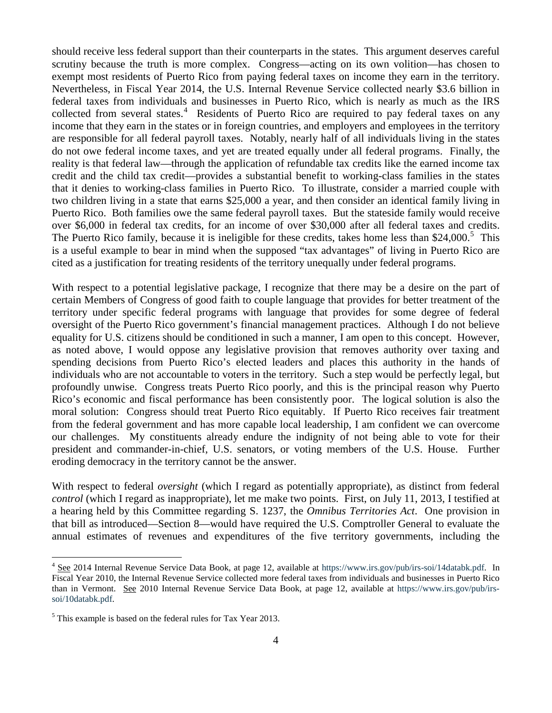should receive less federal support than their counterparts in the states. This argument deserves careful scrutiny because the truth is more complex. Congress—acting on its own volition—has chosen to exempt most residents of Puerto Rico from paying federal taxes on income they earn in the territory. Nevertheless, in Fiscal Year 2014, the U.S. Internal Revenue Service collected nearly \$3.6 billion in federal taxes from individuals and businesses in Puerto Rico, which is nearly as much as the IRS collected from several states.<sup>[4](#page-3-0)</sup> Residents of Puerto Rico are required to pay federal taxes on any income that they earn in the states or in foreign countries, and employers and employees in the territory are responsible for all federal payroll taxes. Notably, nearly half of all individuals living in the states do not owe federal income taxes, and yet are treated equally under all federal programs. Finally, the reality is that federal law—through the application of refundable tax credits like the earned income tax credit and the child tax credit—provides a substantial benefit to working-class families in the states that it denies to working-class families in Puerto Rico. To illustrate, consider a married couple with two children living in a state that earns \$25,000 a year, and then consider an identical family living in Puerto Rico. Both families owe the same federal payroll taxes. But the stateside family would receive over \$6,000 in federal tax credits, for an income of over \$30,000 after all federal taxes and credits. The Puerto Rico family, because it is ineligible for these credits, takes home less than \$24,000.<sup>[5](#page-3-1)</sup> This is a useful example to bear in mind when the supposed "tax advantages" of living in Puerto Rico are cited as a justification for treating residents of the territory unequally under federal programs.

With respect to a potential legislative package, I recognize that there may be a desire on the part of certain Members of Congress of good faith to couple language that provides for better treatment of the territory under specific federal programs with language that provides for some degree of federal oversight of the Puerto Rico government's financial management practices. Although I do not believe equality for U.S. citizens should be conditioned in such a manner, I am open to this concept. However, as noted above, I would oppose any legislative provision that removes authority over taxing and spending decisions from Puerto Rico's elected leaders and places this authority in the hands of individuals who are not accountable to voters in the territory. Such a step would be perfectly legal, but profoundly unwise. Congress treats Puerto Rico poorly, and this is the principal reason why Puerto Rico's economic and fiscal performance has been consistently poor. The logical solution is also the moral solution: Congress should treat Puerto Rico equitably. If Puerto Rico receives fair treatment from the federal government and has more capable local leadership, I am confident we can overcome our challenges. My constituents already endure the indignity of not being able to vote for their president and commander-in-chief, U.S. senators, or voting members of the U.S. House. Further eroding democracy in the territory cannot be the answer.

With respect to federal *oversight* (which I regard as potentially appropriate), as distinct from federal *control* (which I regard as inappropriate), let me make two points. First, on July 11, 2013, I testified at a hearing held by this Committee regarding S. 1237, the *Omnibus Territories Act*. One provision in that bill as introduced—Section 8—would have required the U.S. Comptroller General to evaluate the annual estimates of revenues and expenditures of the five territory governments, including the

<span id="page-3-0"></span><sup>&</sup>lt;sup>4</sup> See 2014 Internal Revenue Service Data Book, at page 12, available at [https://www.irs.gov/pub/irs-soi/14databk.pdf.](https://www.irs.gov/pub/irs-soi/14databk.pdf) In Fiscal Year 2010, the Internal Revenue Service collected more federal taxes from individuals and businesses in Puerto Rico than in Vermont. See 2010 Internal Revenue Service Data Book, at page 12, available at [https://www.irs.gov/pub/irs](https://www.irs.gov/pub/irs-soi/10databk.pdf)[soi/10databk.pdf.](https://www.irs.gov/pub/irs-soi/10databk.pdf)

<span id="page-3-1"></span> $<sup>5</sup>$  This example is based on the federal rules for Tax Year 2013.</sup>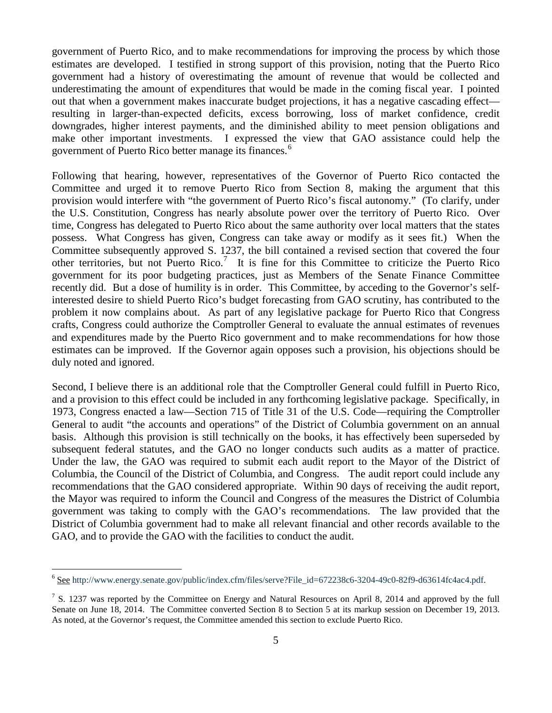government of Puerto Rico, and to make recommendations for improving the process by which those estimates are developed. I testified in strong support of this provision, noting that the Puerto Rico government had a history of overestimating the amount of revenue that would be collected and underestimating the amount of expenditures that would be made in the coming fiscal year. I pointed out that when a government makes inaccurate budget projections, it has a negative cascading effect resulting in larger-than-expected deficits, excess borrowing, loss of market confidence, credit downgrades, higher interest payments, and the diminished ability to meet pension obligations and make other important investments. I expressed the view that GAO assistance could help the government of Puerto Rico better manage its finances.<sup>[6](#page-4-0)</sup>

Following that hearing, however, representatives of the Governor of Puerto Rico contacted the Committee and urged it to remove Puerto Rico from Section 8, making the argument that this provision would interfere with "the government of Puerto Rico's fiscal autonomy." (To clarify, under the U.S. Constitution, Congress has nearly absolute power over the territory of Puerto Rico. Over time, Congress has delegated to Puerto Rico about the same authority over local matters that the states possess. What Congress has given, Congress can take away or modify as it sees fit.) When the Committee subsequently approved S. 1237, the bill contained a revised section that covered the four other territories, but not Puerto Rico.<sup>[7](#page-4-1)</sup> It is fine for this Committee to criticize the Puerto Rico government for its poor budgeting practices, just as Members of the Senate Finance Committee recently did. But a dose of humility is in order. This Committee, by acceding to the Governor's selfinterested desire to shield Puerto Rico's budget forecasting from GAO scrutiny, has contributed to the problem it now complains about. As part of any legislative package for Puerto Rico that Congress crafts, Congress could authorize the Comptroller General to evaluate the annual estimates of revenues and expenditures made by the Puerto Rico government and to make recommendations for how those estimates can be improved. If the Governor again opposes such a provision, his objections should be duly noted and ignored.

Second, I believe there is an additional role that the Comptroller General could fulfill in Puerto Rico, and a provision to this effect could be included in any forthcoming legislative package. Specifically, in 1973, Congress enacted a law—Section 715 of Title 31 of the U.S. Code—requiring the Comptroller General to audit "the accounts and operations" of the District of Columbia government on an annual basis. Although this provision is still technically on the books, it has effectively been superseded by subsequent federal statutes, and the GAO no longer conducts such audits as a matter of practice. Under the law, the GAO was required to submit each audit report to the Mayor of the District of Columbia, the Council of the District of Columbia, and Congress. The audit report could include any recommendations that the GAO considered appropriate. Within 90 days of receiving the audit report, the Mayor was required to inform the Council and Congress of the measures the District of Columbia government was taking to comply with the GAO's recommendations. The law provided that the District of Columbia government had to make all relevant financial and other records available to the GAO, and to provide the GAO with the facilities to conduct the audit.

<span id="page-4-0"></span> <sup>6</sup> See [http://www.energy.senate.gov/public/index.cfm/files/serve?File\\_id=672238c6-3204-49c0-82f9-d63614fc4ac4.pdf.](http://www.energy.senate.gov/public/index.cfm/files/serve?File_id=672238c6-3204-49c0-82f9-d63614fc4ac4)

<span id="page-4-1"></span> $7 S. 1237$  was reported by the Committee on Energy and Natural Resources on April 8, 2014 and approved by the full Senate on June 18, 2014. The Committee converted Section 8 to Section 5 at its markup session on December 19, 2013. As noted, at the Governor's request, the Committee amended this section to exclude Puerto Rico.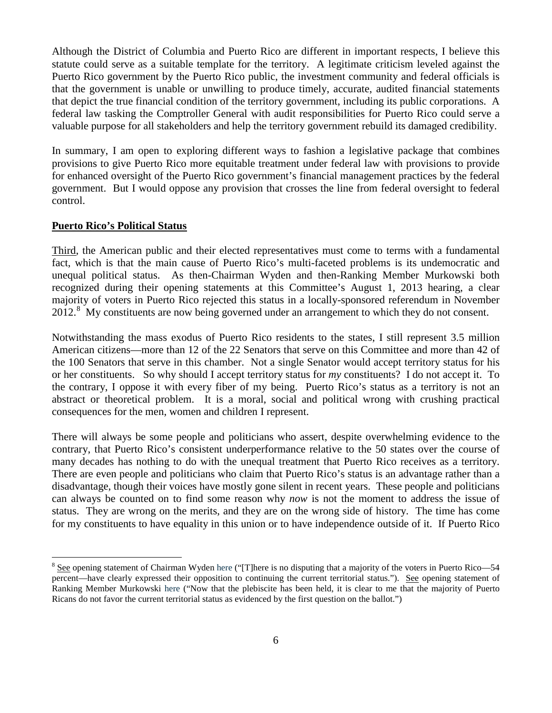Although the District of Columbia and Puerto Rico are different in important respects, I believe this statute could serve as a suitable template for the territory. A legitimate criticism leveled against the Puerto Rico government by the Puerto Rico public, the investment community and federal officials is that the government is unable or unwilling to produce timely, accurate, audited financial statements that depict the true financial condition of the territory government, including its public corporations. A federal law tasking the Comptroller General with audit responsibilities for Puerto Rico could serve a valuable purpose for all stakeholders and help the territory government rebuild its damaged credibility.

In summary, I am open to exploring different ways to fashion a legislative package that combines provisions to give Puerto Rico more equitable treatment under federal law with provisions to provide for enhanced oversight of the Puerto Rico government's financial management practices by the federal government. But I would oppose any provision that crosses the line from federal oversight to federal control.

## **Puerto Rico's Political Status**

Third, the American public and their elected representatives must come to terms with a fundamental fact, which is that the main cause of Puerto Rico's multi-faceted problems is its undemocratic and unequal political status. As then-Chairman Wyden and then-Ranking Member Murkowski both recognized during their opening statements at this Committee's August 1, 2013 hearing, a clear majority of voters in Puerto Rico rejected this status in a locally-sponsored referendum in November 2012.<sup>[8](#page-5-0)</sup> My constituents are now being governed under an arrangement to which they do not consent.

Notwithstanding the mass exodus of Puerto Rico residents to the states, I still represent 3.5 million American citizens—more than 12 of the 22 Senators that serve on this Committee and more than 42 of the 100 Senators that serve in this chamber. Not a single Senator would accept territory status for his or her constituents. So why should I accept territory status for *my* constituents? I do not accept it. To the contrary, I oppose it with every fiber of my being. Puerto Rico's status as a territory is not an abstract or theoretical problem. It is a moral, social and political wrong with crushing practical consequences for the men, women and children I represent.

There will always be some people and politicians who assert, despite overwhelming evidence to the contrary, that Puerto Rico's consistent underperformance relative to the 50 states over the course of many decades has nothing to do with the unequal treatment that Puerto Rico receives as a territory. There are even people and politicians who claim that Puerto Rico's status is an advantage rather than a disadvantage, though their voices have mostly gone silent in recent years. These people and politicians can always be counted on to find some reason why *now* is not the moment to address the issue of status. They are wrong on the merits, and they are on the wrong side of history. The time has come for my constituents to have equality in this union or to have independence outside of it. If Puerto Rico

<span id="page-5-0"></span><sup>&</sup>lt;sup>8</sup> See opening statement of Chairman Wyde[n here](http://www.energy.senate.gov/public/index.cfm/files/serve?File_id=788c483c-92ba-4879-b3e1-637d655b7fa9.pdf) ("[T]here is no disputing that a majority of the voters in Puerto Rico—54 percent—have clearly expressed their opposition to continuing the current territorial status."). See opening statement of Ranking Member Murkowski [here](http://www.energy.senate.gov/public/index.cfm/files/serve?File_id=7d398eaa-bdb0-492f-9b1c-e01b09dcb5ae.pdf) ("Now that the plebiscite has been held, it is clear to me that the majority of Puerto Ricans do not favor the current territorial status as evidenced by the first question on the ballot.")